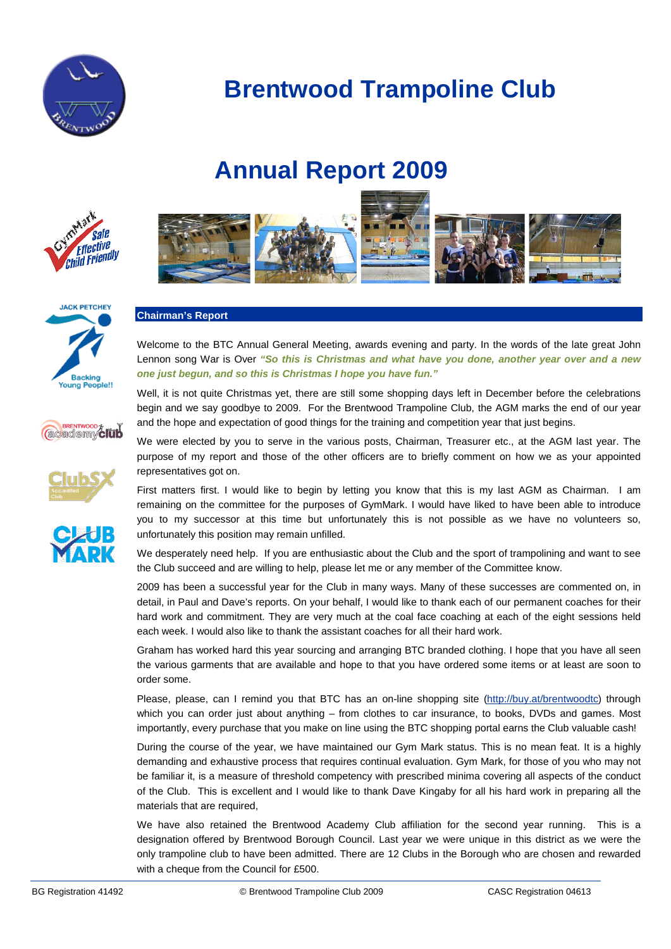

# **Annual Report 2009**



**JACK PETCHEY** 

**Backing Young People!!** 

**CONTRENTWOOD & TUD** 



### **Chairman's Report**

Welcome to the BTC Annual General Meeting, awards evening and party. In the words of the late great John Lennon song War is Over *"So this is Christmas and what have you done, another year over and a new one just begun, and so this is Christmas I hope you have fun."*

Well, it is not quite Christmas yet, there are still some shopping days left in December before the celebrations begin and we say goodbye to 2009. For the Brentwood Trampoline Club, the AGM marks the end of our year and the hope and expectation of good things for the training and competition year that just begins.

We were elected by you to serve in the various posts, Chairman, Treasurer etc., at the AGM last year. The purpose of my report and those of the other officers are to briefly comment on how we as your appointed representatives got on.

First matters first. I would like to begin by letting you know that this is my last AGM as Chairman. I am remaining on the committee for the purposes of GymMark. I would have liked to have been able to introduce you to my successor at this time but unfortunately this is not possible as we have no volunteers so, unfortunately this position may remain unfilled.

We desperately need help. If you are enthusiastic about the Club and the sport of trampolining and want to see the Club succeed and are willing to help, please let me or any member of the Committee know.

2009 has been a successful year for the Club in many ways. Many of these successes are commented on, in detail, in Paul and Dave's reports. On your behalf, I would like to thank each of our permanent coaches for their hard work and commitment. They are very much at the coal face coaching at each of the eight sessions held each week. I would also like to thank the assistant coaches for all their hard work.

Graham has worked hard this year sourcing and arranging BTC branded clothing. I hope that you have all seen the various garments that are available and hope to that you have ordered some items or at least are soon to order some.

Please, please, can I remind you that BTC has an on-line shopping site [\(http://buy.at/brentwoodtc\)](http://buy.at/brentwoodtc) through which you can order just about anything – from clothes to car insurance, to books, DVDs and games. Most importantly, every purchase that you make on line using the BTC shopping portal earns the Club valuable cash!

During the course of the year, we have maintained our Gym Mark status. This is no mean feat. It is a highly demanding and exhaustive process that requires continual evaluation. Gym Mark, for those of you who may not be familiar it, is a measure of threshold competency with prescribed minima covering all aspects of the conduct of the Club. This is excellent and I would like to thank Dave Kingaby for all his hard work in preparing all the materials that are required,

We have also retained the Brentwood Academy Club affiliation for the second year running. This is a designation offered by Brentwood Borough Council. Last year we were unique in this district as we were the only trampoline club to have been admitted. There are 12 Clubs in the Borough who are chosen and rewarded with a cheque from the Council for £500.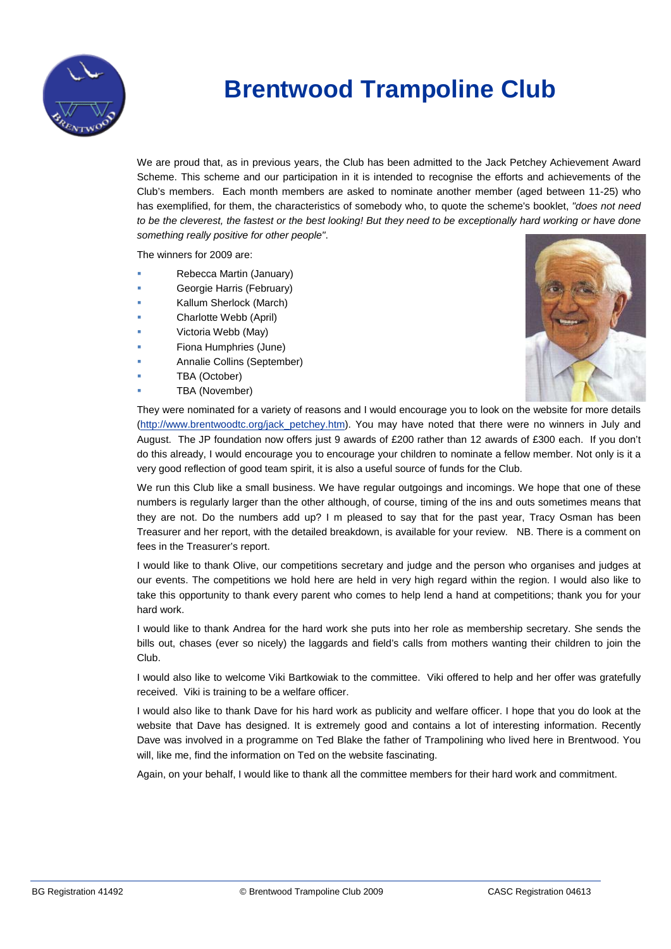

We are proud that, as in previous years, the Club has been admitted to the Jack Petchey Achievement Award Scheme. This scheme and our participation in it is intended to recognise the efforts and achievements of the Club's members. Each month members are asked to nominate another member (aged between 11-25) who has exemplified, for them, the characteristics of somebody who, to quote the scheme's booklet, *"does not need*  to be the cleverest, the fastest or the best looking! But they need to be exceptionally hard working or have done *something really positive for other people"*.

The winners for 2009 are:

- Rebecca Martin (January)
- Georgie Harris (February)
- Kallum Sherlock (March)
- Charlotte Webb (April)
- Victoria Webb (May)
- Fiona Humphries (June)
- Annalie Collins (September)
- TBA (October)
- TBA (November)



They were nominated for a variety of reasons and I would encourage you to look on the website for more details [\(http://www.brentwoodtc.org/jack\\_petchey.htm\)](http://www.brentwoodtc.org/jack_petchey.htm). You may have noted that there were no winners in July and August. The JP foundation now offers just 9 awards of £200 rather than 12 awards of £300 each. If you don't do this already, I would encourage you to encourage your children to nominate a fellow member. Not only is it a very good reflection of good team spirit, it is also a useful source of funds for the Club.

We run this Club like a small business. We have regular outgoings and incomings. We hope that one of these numbers is regularly larger than the other although, of course, timing of the ins and outs sometimes means that they are not. Do the numbers add up? I m pleased to say that for the past year, Tracy Osman has been Treasurer and her report, with the detailed breakdown, is available for your review. NB. There is a comment on fees in the Treasurer's report.

I would like to thank Olive, our competitions secretary and judge and the person who organises and judges at our events. The competitions we hold here are held in very high regard within the region. I would also like to take this opportunity to thank every parent who comes to help lend a hand at competitions; thank you for your hard work.

I would like to thank Andrea for the hard work she puts into her role as membership secretary. She sends the bills out, chases (ever so nicely) the laggards and field's calls from mothers wanting their children to join the Club.

I would also like to welcome Viki Bartkowiak to the committee. Viki offered to help and her offer was gratefully received. Viki is training to be a welfare officer.

I would also like to thank Dave for his hard work as publicity and welfare officer. I hope that you do look at the website that Dave has designed. It is extremely good and contains a lot of interesting information. Recently Dave was involved in a programme on Ted Blake the father of Trampolining who lived here in Brentwood. You will, like me, find the information on Ted on the website fascinating.

Again, on your behalf, I would like to thank all the committee members for their hard work and commitment.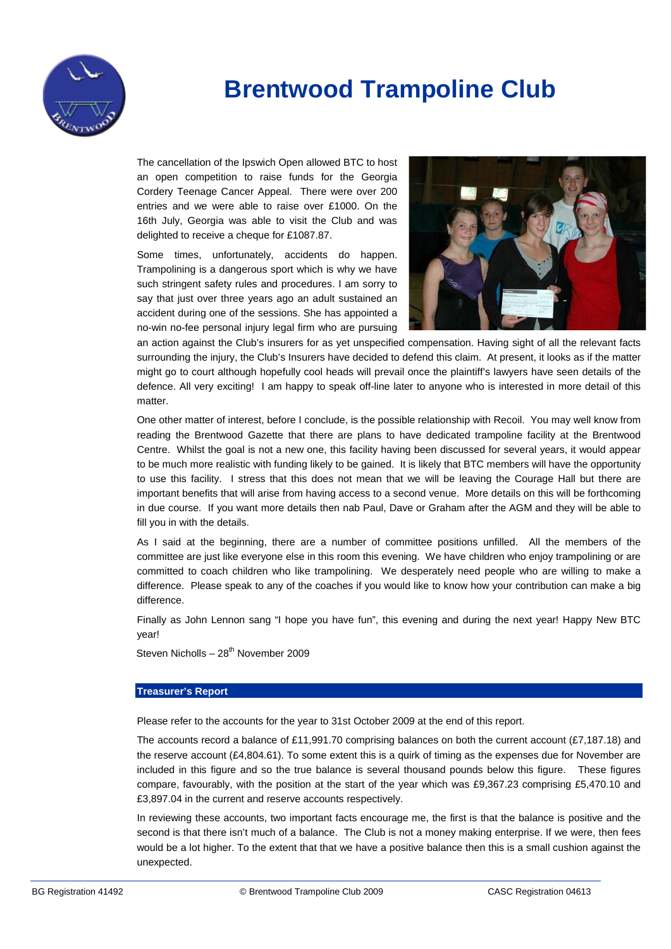

The cancellation of the Ipswich Open allowed BTC to host an open competition to raise funds for the Georgia Cordery Teenage Cancer Appeal. There were over 200 entries and we were able to raise over £1000. On the 16th July, Georgia was able to visit the Club and was delighted to receive a cheque for £1087.87.

Some times, unfortunately, accidents do happen. Trampolining is a dangerous sport which is why we have such stringent safety rules and procedures. I am sorry to say that just over three years ago an adult sustained an accident during one of the sessions. She has appointed a no-win no-fee personal injury legal firm who are pursuing



an action against the Club's insurers for as yet unspecified compensation. Having sight of all the relevant facts surrounding the injury, the Club's Insurers have decided to defend this claim. At present, it looks as if the matter might go to court although hopefully cool heads will prevail once the plaintiff's lawyers have seen details of the defence. All very exciting! I am happy to speak off-line later to anyone who is interested in more detail of this matter.

One other matter of interest, before I conclude, is the possible relationship with Recoil. You may well know from reading the Brentwood Gazette that there are plans to have dedicated trampoline facility at the Brentwood Centre. Whilst the goal is not a new one, this facility having been discussed for several years, it would appear to be much more realistic with funding likely to be gained. It is likely that BTC members will have the opportunity to use this facility. I stress that this does not mean that we will be leaving the Courage Hall but there are important benefits that will arise from having access to a second venue. More details on this will be forthcoming in due course. If you want more details then nab Paul, Dave or Graham after the AGM and they will be able to fill you in with the details.

As I said at the beginning, there are a number of committee positions unfilled. All the members of the committee are just like everyone else in this room this evening. We have children who enjoy trampolining or are committed to coach children who like trampolining. We desperately need people who are willing to make a difference. Please speak to any of the coaches if you would like to know how your contribution can make a big difference.

Finally as John Lennon sang "I hope you have fun", this evening and during the next year! Happy New BTC year!

Steven Nicholls –  $28<sup>th</sup>$  November 2009

#### **Treasurer's Report**

Please refer to the accounts for the year to 31st October 2009 at the end of this report.

The accounts record a balance of £11,991.70 comprising balances on both the current account (£7,187.18) and the reserve account (£4,804.61). To some extent this is a quirk of timing as the expenses due for November are included in this figure and so the true balance is several thousand pounds below this figure. These figures compare, favourably, with the position at the start of the year which was £9,367.23 comprising £5,470.10 and £3,897.04 in the current and reserve accounts respectively.

In reviewing these accounts, two important facts encourage me, the first is that the balance is positive and the second is that there isn't much of a balance. The Club is not a money making enterprise. If we were, then fees would be a lot higher. To the extent that that we have a positive balance then this is a small cushion against the unexpected.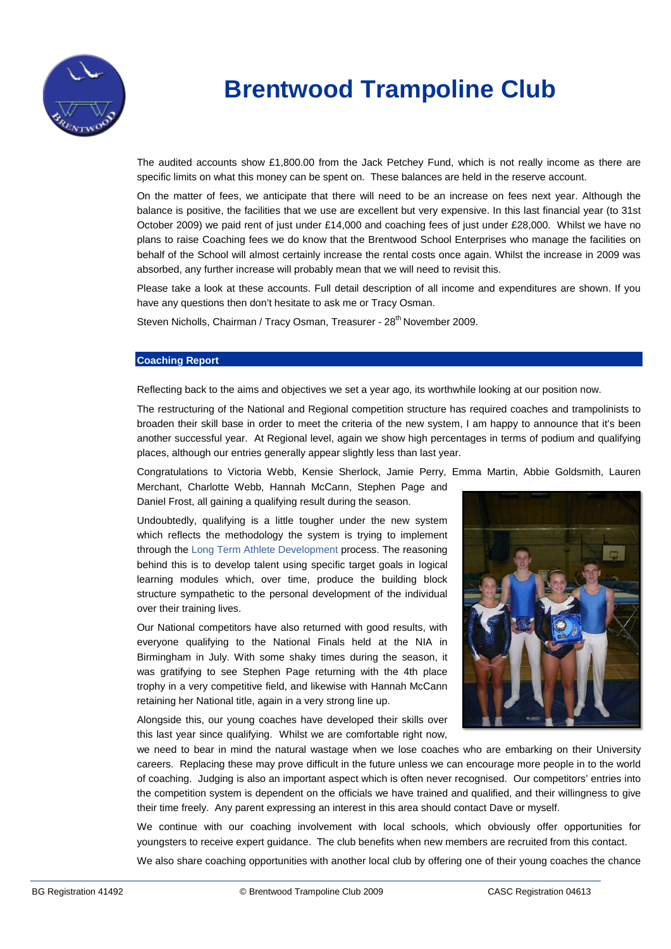

The audited accounts show £1,800.00 from the Jack Petchey Fund, which is not really income as there are specific limits on what this money can be spent on. These balances are held in the reserve account.

On the matter of fees, we anticipate that there will need to be an increase on fees next year. Although the balance is positive, the facilities that we use are excellent but very expensive. In this last financial year (to 31st October 2009) we paid rent of just under £14,000 and coaching fees of just under £28,000. Whilst we have no plans to raise Coaching fees we do know that the Brentwood School Enterprises who manage the facilities on behalf of the School will almost certainly increase the rental costs once again. Whilst the increase in 2009 was absorbed, any further increase will probably mean that we will need to revisit this.

Please take a look at these accounts. Full detail description of all income and expenditures are shown. If you have any questions then don't hesitate to ask me or Tracy Osman.

Steven Nicholls, Chairman / Tracy Osman, Treasurer - 28<sup>th</sup> November 2009.

#### **Coaching Report**

Reflecting back to the aims and objectives we set a year ago, its worthwhile looking at our position now.

The restructuring of the National and Regional competition structure has required coaches and trampolinists to broaden their skill base in order to meet the criteria of the new system, I am happy to announce that it's been another successful year. At Regional level, again we show high percentages in terms of podium and qualifying places, although our entries generally appear slightly less than last year.

Congratulations to Victoria Webb, Kensie Sherlock, Jamie Perry, Emma Martin, Abbie Goldsmith, Lauren

Merchant, Charlotte Webb, Hannah McCann, Stephen Page and Daniel Frost, all gaining a qualifying result during the season.

Undoubtedly, qualifying is a little tougher under the new system which reflects the methodology the system is trying to implement through the Long Term Athlete Development process. The reasoning behind this is to develop talent using specific target goals in logical learning modules which, over time, produce the building block structure sympathetic to the personal development of the individual over their training lives.

Our National competitors have also returned with good results, with everyone qualifying to the National Finals held at the NIA in Birmingham in July. With some shaky times during the season, it was gratifying to see Stephen Page returning with the 4th place trophy in a very competitive field, and likewise with Hannah McCann retaining her National title, again in a very strong line up.



Alongside this, our young coaches have developed their skills over this last year since qualifying. Whilst we are comfortable right now,

we need to bear in mind the natural wastage when we lose coaches who are embarking on their University careers. Replacing these may prove difficult in the future unless we can encourage more people in to the world of coaching. Judging is also an important aspect which is often never recognised. Our competitors' entries into the competition system is dependent on the officials we have trained and qualified, and their willingness to give their time freely. Any parent expressing an interest in this area should contact Dave or myself.

We continue with our coaching involvement with local schools, which obviously offer opportunities for youngsters to receive expert guidance. The club benefits when new members are recruited from this contact.

We also share coaching opportunities with another local club by offering one of their young coaches the chance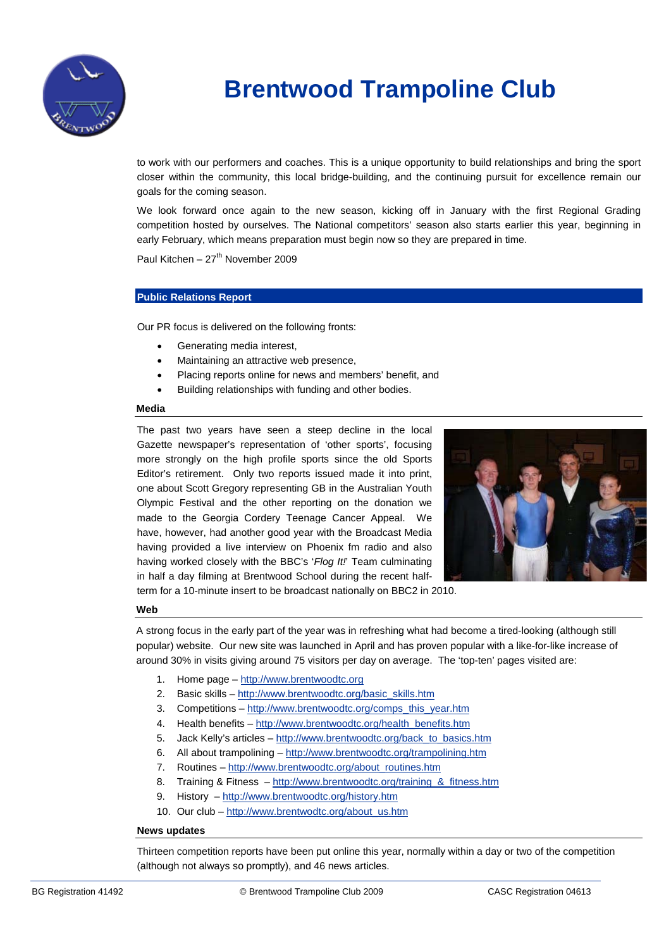

to work with our performers and coaches. This is a unique opportunity to build relationships and bring the sport closer within the community, this local bridge-building, and the continuing pursuit for excellence remain our goals for the coming season.

We look forward once again to the new season, kicking off in January with the first Regional Grading competition hosted by ourselves. The National competitors' season also starts earlier this year, beginning in early February, which means preparation must begin now so they are prepared in time.

Paul Kitchen –  $27<sup>th</sup>$  November 2009

#### **Public Relations Report**

Our PR focus is delivered on the following fronts:

- Generating media interest,
- Maintaining an attractive web presence,
- Placing reports online for news and members' benefit, and
- Building relationships with funding and other bodies.

#### **Media**

The past two years have seen a steep decline in the local Gazette newspaper's representation of 'other sports', focusing more strongly on the high profile sports since the old Sports Editor's retirement. Only two reports issued made it into print, one about Scott Gregory representing GB in the Australian Youth Olympic Festival and the other reporting on the donation we made to the Georgia Cordery Teenage Cancer Appeal. We have, however, had another good year with the Broadcast Media having provided a live interview on Phoenix fm radio and also having worked closely with the BBC's '*Flog It!*' Team culminating in half a day filming at Brentwood School during the recent half-



term for a 10-minute insert to be broadcast nationally on BBC2 in 2010.

### **Web**

A strong focus in the early part of the year was in refreshing what had become a tired-looking (although still popular) website. Our new site was launched in April and has proven popular with a like-for-like increase of around 30% in visits giving around 75 visitors per day on average. The 'top-ten' pages visited are:

- 1. Home page [http://www.brentwoodtc.org](http://www.brentwoodtc.org/)
- 2. Basic skills [http://www.brentwoodtc.org/basic\\_skills.htm](http://www.brentwoodtc.org/basic_skills.htm)
- 3. Competitions [http://www.brentwoodtc.org/comps\\_this\\_year.htm](http://www.brentwoodtc.org/comps_this_year.htm)
- 4. Health benefits [http://www.brentwoodtc.org/health\\_benefits.htm](http://www.brentwoodtc.org/health_benefits.htm)
- 5. Jack Kelly's articles [http://www.brentwoodtc.org/back\\_to\\_basics.htm](http://www.brentwoodtc.org/back_to_basics.htm)
- 6. All about trampolining <http://www.brentwoodtc.org/trampolining.htm>
- 7. Routines [http://www.brentwoodtc.org/about\\_routines.htm](http://www.brentwoodtc.org/about_routines.htm)
- 8. Training & Fitness [http://www.brentwoodtc.org/training\\_&\\_fitness.htm](http://www.brentwoodtc.org/training_&_fitness.htm)
- 9. History <http://www.brentwoodtc.org/history.htm>
- 10. Our club [http://www.brentwodtc.org/about\\_us.htm](http://www.brentwodtc.org/about_us.htm)

#### **News updates**

Thirteen competition reports have been put online this year, normally within a day or two of the competition (although not always so promptly), and 46 news articles.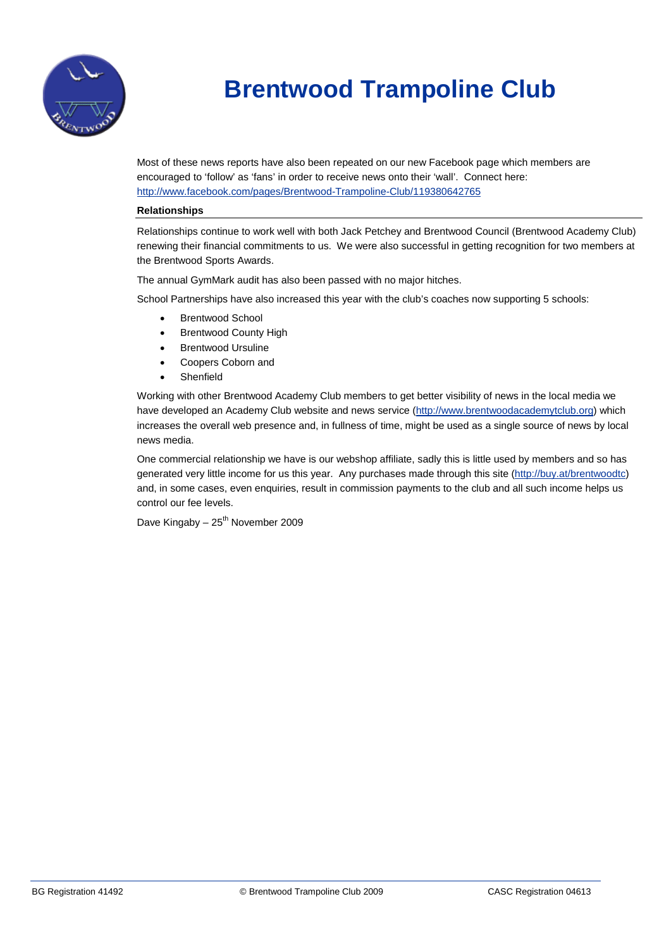

Most of these news reports have also been repeated on our new Facebook page which members are encouraged to 'follow' as 'fans' in order to receive news onto their 'wall'. Connect here: <http://www.facebook.com/pages/Brentwood-Trampoline-Club/119380642765>

#### **Relationships**

Relationships continue to work well with both Jack Petchey and Brentwood Council (Brentwood Academy Club) renewing their financial commitments to us. We were also successful in getting recognition for two members at the Brentwood Sports Awards.

The annual GymMark audit has also been passed with no major hitches.

School Partnerships have also increased this year with the club's coaches now supporting 5 schools:

- Brentwood School
- **Brentwood County High**
- **Brentwood Ursuline**
- Coopers Coborn and
- **Shenfield**

Working with other Brentwood Academy Club members to get better visibility of news in the local media we have developed an Academy Club website and news service [\(http://www.brentwoodacademytclub.org\)](http://www.brentwoodacademytclub.org/) which increases the overall web presence and, in fullness of time, might be used as a single source of news by local news media.

One commercial relationship we have is our webshop affiliate, sadly this is little used by members and so has generated very little income for us this year. Any purchases made through this site [\(http://buy.at/brentwoodtc\)](http://buy.at/brentwoodtc) and, in some cases, even enquiries, result in commission payments to the club and all such income helps us control our fee levels.

Dave Kingaby –  $25<sup>th</sup>$  November 2009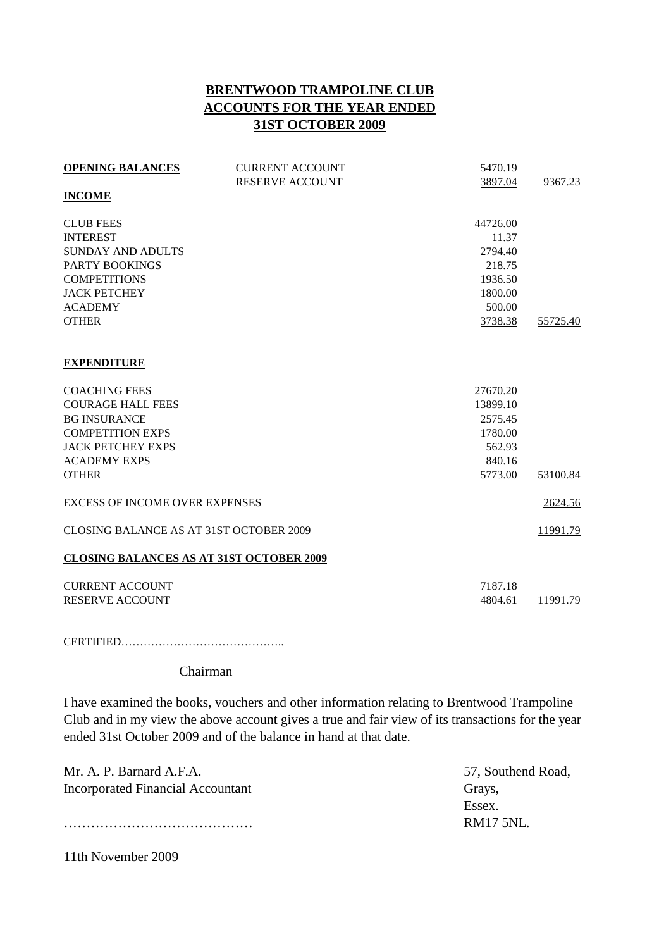### **BRENTWOOD TRAMPOLINE CLUB ACCOUNTS FOR THE YEAR ENDED 31ST OCTOBER 2009**

| <b>OPENING BALANCES</b>                         | <b>CURRENT ACCOUNT</b> | 5470.19  |          |
|-------------------------------------------------|------------------------|----------|----------|
|                                                 | <b>RESERVE ACCOUNT</b> | 3897.04  | 9367.23  |
| <b>INCOME</b>                                   |                        |          |          |
| <b>CLUB FEES</b>                                |                        | 44726.00 |          |
| <b>INTEREST</b>                                 |                        | 11.37    |          |
| SUNDAY AND ADULTS                               |                        | 2794.40  |          |
| <b>PARTY BOOKINGS</b>                           |                        | 218.75   |          |
| <b>COMPETITIONS</b>                             |                        | 1936.50  |          |
| <b>JACK PETCHEY</b>                             |                        | 1800.00  |          |
| <b>ACADEMY</b>                                  |                        | 500.00   |          |
| <b>OTHER</b>                                    |                        | 3738.38  | 55725.40 |
| <b>EXPENDITURE</b>                              |                        |          |          |
| <b>COACHING FEES</b>                            |                        | 27670.20 |          |
| <b>COURAGE HALL FEES</b>                        |                        | 13899.10 |          |
| <b>BG INSURANCE</b>                             |                        | 2575.45  |          |
| <b>COMPETITION EXPS</b>                         |                        | 1780.00  |          |
| <b>JACK PETCHEY EXPS</b>                        |                        | 562.93   |          |
| <b>ACADEMY EXPS</b>                             |                        | 840.16   |          |
| <b>OTHER</b>                                    |                        | 5773.00  | 53100.84 |
| <b>EXCESS OF INCOME OVER EXPENSES</b>           |                        |          | 2624.56  |
| <b>CLOSING BALANCE AS AT 31ST OCTOBER 2009</b>  |                        |          | 11991.79 |
| <b>CLOSING BALANCES AS AT 31ST OCTOBER 2009</b> |                        |          |          |
| <b>CURRENT ACCOUNT</b>                          |                        | 7187.18  |          |
| <b>RESERVE ACCOUNT</b>                          |                        | 4804.61  | 11991.79 |

CERTIFIED……………………………………..

### Chairman

I have examined the books, vouchers and other information relating to Brentwood Trampoline Club and in my view the above account gives a true and fair view of its transactions for the year ended 31st October 2009 and of the balance in hand at that date.

| Mr. A. P. Barnard A.F.A.          | 57, Southend Road, |
|-----------------------------------|--------------------|
| Incorporated Financial Accountant | Grays,             |
|                                   | Essex.             |
|                                   | RM17.5NL           |
|                                   |                    |

11th November 2009